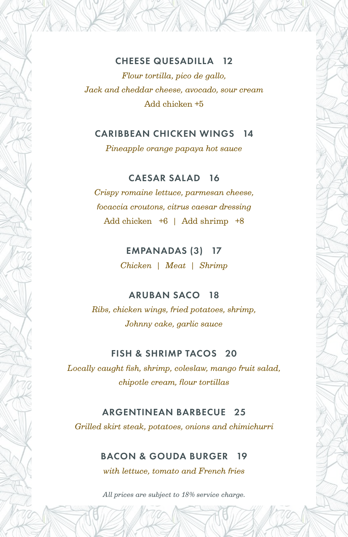### CHEESE QUESADILLA 12

*Flour tortilla, pico de gallo, Jack and cheddar cheese, avocado, sour cream* Add chicken +5

#### CARIBBEAN CHICKEN WINGS 14

*Pineapple orange papaya hot sauce*

## CAESAR SALAD 16

*Crispy romaine lettuce, parmesan cheese, focaccia croutons, citrus caesar dressing* Add chicken +6 | Add shrimp +8

## EMPANADAS (3) 17

*Chicken | Meat | Shrimp*

## ARUBAN SACO 18

*Ribs, chicken wings, fried potatoes, shrimp, Johnny cake, garlic sauce*

### FISH & SHRIMP TACOS 20

*Locally caught fish, shrimp, coleslaw, mango fruit salad, chipotle cream, flour tortillas*

### ARGENTINEAN BARBECUE 25

*Grilled skirt steak, potatoes, onions and chimichurri*

## BACON & GOUDA BURGER 19

*with lettuce, tomato and French fries*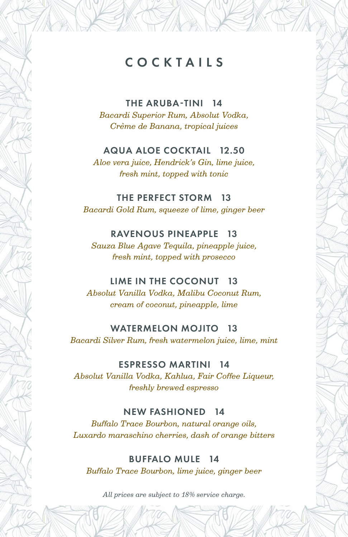## COCKTAILS

THE ARUBA-TINI 14 *Bacardi Superior Rum, Absolut Vodka, Crème de Banana, tropical juices*

#### AQUA ALOE COCKTAIL 12.50

*Aloe vera juice, Hendrick's Gin, lime juice, fresh mint, topped with tonic*

THE PERFECT STORM 13 *Bacardi Gold Rum, squeeze of lime, ginger beer*

#### RAVENOUS PINEAPPLE 13

*Sauza Blue Agave Tequila, pineapple juice, fresh mint, topped with prosecco*

### LIME IN THE COCONUT 13

*Absolut Vanilla Vodka, Malibu Coconut Rum, cream of coconut, pineapple, lime*

#### WATERMELON MOJITO 13

*Bacardi Silver Rum, fresh watermelon juice, lime, mint*

#### ESPRESSO MARTINI 14

*Absolut Vanilla Vodka, Kahlua, Fair Coffee Liqueur, freshly brewed espresso*

#### NEW FASHIONED 14

*Buffalo Trace Bourbon, natural orange oils, Luxardo maraschino cherries, dash of orange bitters*

BUFFALO MULE 14 *Buffalo Trace Bourbon, lime juice, ginger beer*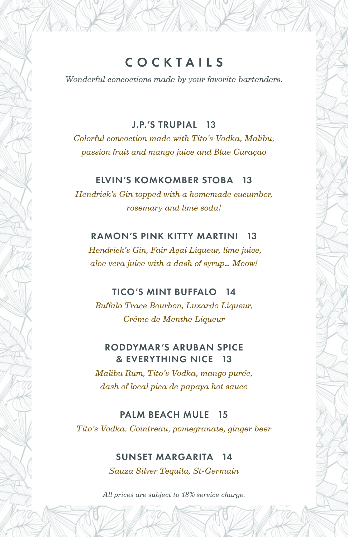*Wonderful concoctions made by your favorite bartenders.*

### J.P.'S TRUPIAL 13

*Colorful concoction made with Tito's Vodka, Malibu, passion fruit and mango juice and Blue Curaçao*

#### ELVIN'S KOMKOMBER STOBA 13

*Hendrick's Gin topped with a homemade cucumber, rosemary and lime soda!*

### RAMON'S PINK KITTY MARTINI 13

*Hendrick's Gin, Fair Açai Liqueur, lime juice, aloe vera juice with a dash of syrup… Meow!*

### TICO'S MINT BUFFALO 14

*Buffalo Trace Bourbon, Luxardo Liqueur, Crème de Menthe Liqueur*

### RODDYMAR'S ARUBAN SPICE & EVERYTHING NICE 13

*Malibu Rum, Tito's Vodka, mango purée, dash of local pica de papaya hot sauce*

### PALM BEACH MULE 15

*Tito's Vodka, Cointreau, pomegranate, ginger beer*

### SUNSET MARGARITA 14

*Sauza Silver Tequila, St-Germain*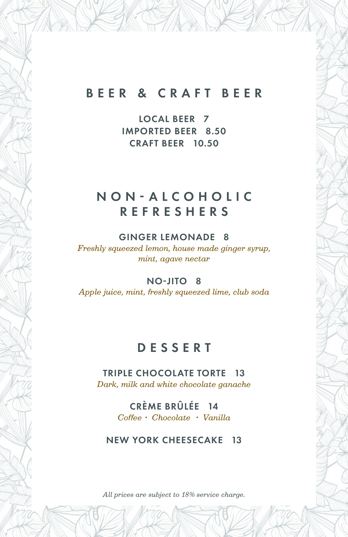## BEER & CRAFT BEER

LOCAL BEER 7 IMPORTED BEER 8.50 CRAFT BEER 10.50

## N O N - A L C O H O L I C REFRESHERS

#### GINGER LEMONADE 8

*Freshly squeezed lemon, house made ginger syrup, mint, agave nectar*

#### NO-JITO 8

*Apple juice, mint, freshly squeezed lime, club soda*

## DESSERT

TRIPLE CHOCOLATE TORTE 13 *Dark, milk and white chocolate ganache*

> CRÈME BRÛLÉE 14 *Coffee • Chocolate • Vanilla*

#### NEW YORK CHEESECAKE 13